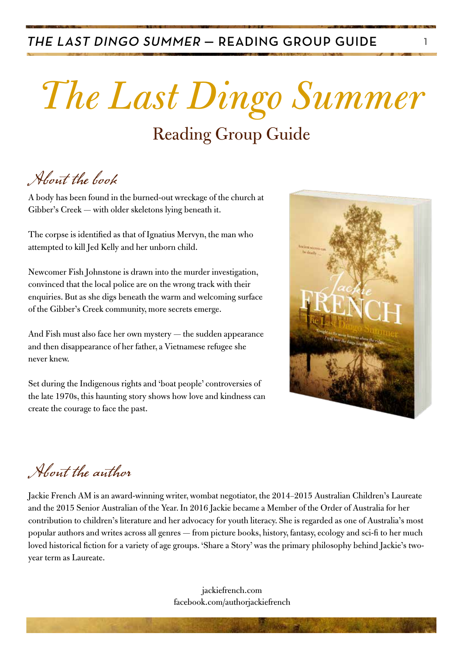#### THE LAST DINGO SUMMER - READING GROUP GUIDE

# *The Last Dingo Summer*

### Reading Group Guide

About the book

A body has been found in the burned-out wreckage of the church at Gibber's Creek — with older skeletons lying beneath it.

The corpse is identified as that of Ignatius Mervyn, the man who attempted to kill Jed Kelly and her unborn child.

Newcomer Fish Johnstone is drawn into the murder investigation, convinced that the local police are on the wrong track with their enquiries. But as she digs beneath the warm and welcoming surface of the Gibber's Creek community, more secrets emerge.

And Fish must also face her own mystery — the sudden appearance and then disappearance of her father, a Vietnamese refugee she never knew.

Set during the Indigenous rights and 'boat people' controversies of the late 1970s, this haunting story shows how love and kindness can create the courage to face the past.



### About the author

Jackie French AM is an award-winning writer, wombat negotiator, the 2014–2015 Australian Children's Laureate and the 2015 Senior Australian of the Year. In 2016 Jackie became a Member of the Order of Australia for her contribution to children's literature and her advocacy for youth literacy. She is regarded as one of Australia's most popular authors and writes across all genres — from picture books, history, fantasy, ecology and sci-fi to her much loved historical fiction for a variety of age groups. 'Share a Story' was the primary philosophy behind Jackie's twoyear term as Laureate.

> jackiefrench.com facebook.com/authorjackiefrench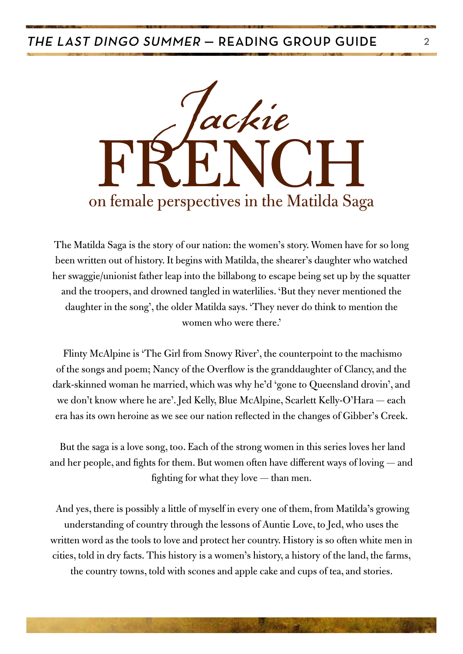

The Matilda Saga is the story of our nation: the women's story. Women have for so long been written out of history. It begins with Matilda, the shearer's daughter who watched her swaggie/unionist father leap into the billabong to escape being set up by the squatter and the troopers, and drowned tangled in waterlilies. 'But they never mentioned the daughter in the song', the older Matilda says. 'They never do think to mention the women who were there.'

 Flinty McAlpine is 'The Girl from Snowy River', the counterpoint to the machismo of the songs and poem; Nancy of the Overflow is the granddaughter of Clancy, and the dark-skinned woman he married, which was why he'd 'gone to Queensland drovin', and we don't know where he are'. Jed Kelly, Blue McAlpine, Scarlett Kelly-O'Hara — each era has its own heroine as we see our nation reflected in the changes of Gibber's Creek.

 But the saga is a love song, too. Each of the strong women in this series loves her land and her people, and fights for them. But women often have different ways of loving — and fighting for what they love — than men.

 And yes, there is possibly a little of myself in every one of them, from Matilda's growing understanding of country through the lessons of Auntie Love, to Jed, who uses the written word as the tools to love and protect her country. History is so often white men in cities, told in dry facts. This history is a women's history, a history of the land, the farms, the country towns, told with scones and apple cake and cups of tea, and stories.